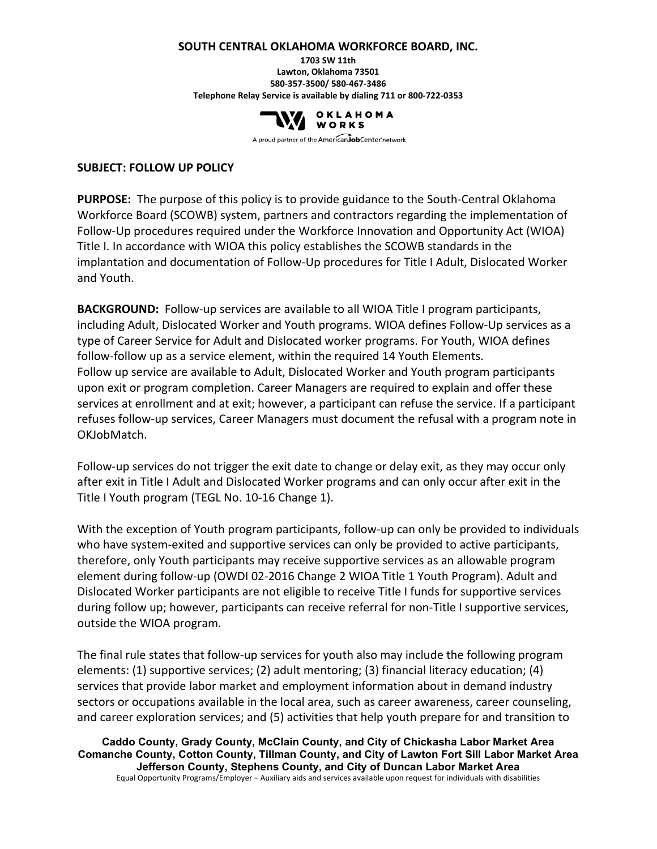#### **SOUTH CENTRAL OKLAHOMA WORKFORCE BOARD, INC.**

**1703 SW 11th Lawton, Oklahoma 73501 580-357-3500/ 580-467-3486 Telephone Relay Service is available by dialing 711 or 800-722-0353**



A proud partner of the AmericanJobCenter network

#### **SUBJECT: FOLLOW UP POLICY**

**PURPOSE:** The purpose of this policy is to provide guidance to the South-Central Oklahoma Workforce Board (SCOWB) system, partners and contractors regarding the implementation of Follow-Up procedures required under the Workforce Innovation and Opportunity Act (WIOA) Title I. In accordance with WIOA this policy establishes the SCOWB standards in the implantation and documentation of Follow-Up procedures for Title I Adult, Dislocated Worker and Youth.

**BACKGROUND:** Follow-up services are available to all WIOA Title I program participants, including Adult, Dislocated Worker and Youth programs. WIOA defines Follow-Up services as a type of Career Service for Adult and Dislocated worker programs. For Youth, WIOA defines follow-follow up as a service element, within the required 14 Youth Elements. Follow up service are available to Adult, Dislocated Worker and Youth program participants upon exit or program completion. Career Managers are required to explain and offer these services at enrollment and at exit; however, a participant can refuse the service. If a participant refuses follow-up services, Career Managers must document the refusal with a program note in OKJobMatch.

Follow-up services do not trigger the exit date to change or delay exit, as they may occur only after exit in Title I Adult and Dislocated Worker programs and can only occur after exit in the Title I Youth program (TEGL No. 10-16 Change 1).

With the exception of Youth program participants, follow-up can only be provided to individuals who have system-exited and supportive services can only be provided to active participants, therefore, only Youth participants may receive supportive services as an allowable program element during follow-up (OWDI 02-2016 Change 2 WIOA Title 1 Youth Program). Adult and Dislocated Worker participants are not eligible to receive Title I funds for supportive services during follow up; however, participants can receive referral for non-Title I supportive services, outside the WIOA program.

The final rule states that follow-up services for youth also may include the following program elements: (1) supportive services; (2) adult mentoring; (3) financial literacy education; (4) services that provide labor market and employment information about in demand industry sectors or occupations available in the local area, such as career awareness, career counseling, and career exploration services; and (5) activities that help youth prepare for and transition to

**Caddo County, Grady County, McClain County, and City of Chickasha Labor Market Area Comanche County, Cotton County, Tillman County, and City of Lawton Fort Sill Labor Market Area Jefferson County, Stephens County, and City of Duncan Labor Market Area** Equal Opportunity Programs/Employer – Auxiliary aids and services available upon request for individuals with disabilities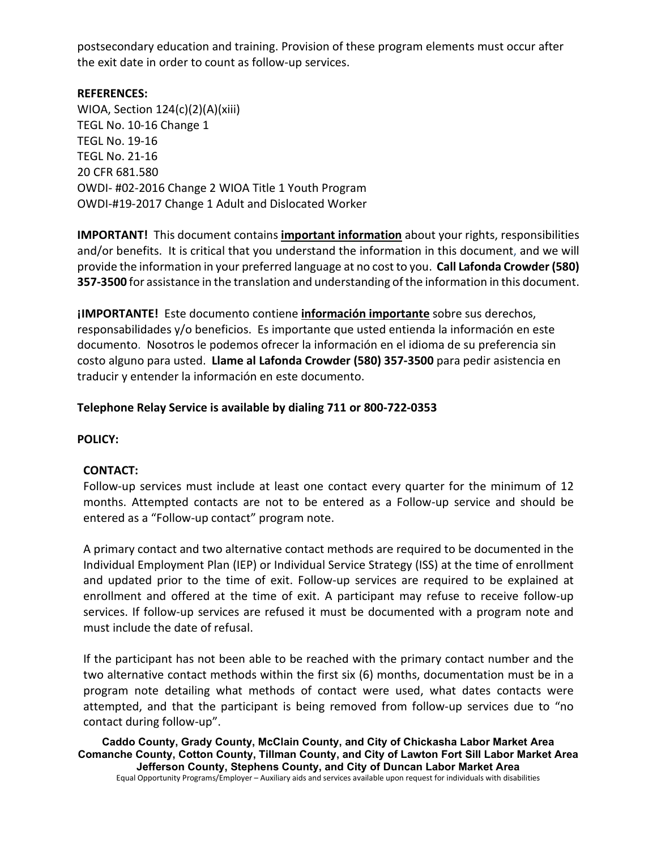postsecondary education and training. Provision of these program elements must occur after the exit date in order to count as follow-up services.

# **REFERENCES:**

WIOA, Section 124(c)(2)(A)(xiii) TEGL No. 10-16 Change 1 TEGL No. 19-16 TEGL No. 21-16 20 CFR 681.580 OWDI- #02-2016 Change 2 WIOA Title 1 Youth Program OWDI-#19-2017 Change 1 Adult and Dislocated Worker

**IMPORTANT!** This document contains **important information** about your rights, responsibilities and/or benefits. It is critical that you understand the information in this document, and we will provide the information in your preferred language at no cost to you. **Call Lafonda Crowder (580) 357-3500** for assistance in the translation and understanding of the information in this document.

**¡IMPORTANTE!** Este documento contiene **información importante** sobre sus derechos, responsabilidades y/o beneficios. Es importante que usted entienda la información en este documento. Nosotros le podemos ofrecer la información en el idioma de su preferencia sin costo alguno para usted. **Llame al Lafonda Crowder (580) 357-3500** para pedir asistencia en traducir y entender la información en este documento.

# **Telephone Relay Service is available by dialing 711 or 800-722-0353**

#### **POLICY:**

#### **CONTACT:**

Follow-up services must include at least one contact every quarter for the minimum of 12 months. Attempted contacts are not to be entered as a Follow-up service and should be entered as a "Follow-up contact" program note.

A primary contact and two alternative contact methods are required to be documented in the Individual Employment Plan (IEP) or Individual Service Strategy (ISS) at the time of enrollment and updated prior to the time of exit. Follow-up services are required to be explained at enrollment and offered at the time of exit. A participant may refuse to receive follow-up services. If follow-up services are refused it must be documented with a program note and must include the date of refusal.

If the participant has not been able to be reached with the primary contact number and the two alternative contact methods within the first six (6) months, documentation must be in a program note detailing what methods of contact were used, what dates contacts were attempted, and that the participant is being removed from follow-up services due to "no contact during follow-up".

**Caddo County, Grady County, McClain County, and City of Chickasha Labor Market Area Comanche County, Cotton County, Tillman County, and City of Lawton Fort Sill Labor Market Area Jefferson County, Stephens County, and City of Duncan Labor Market Area** Equal Opportunity Programs/Employer – Auxiliary aids and services available upon request for individuals with disabilities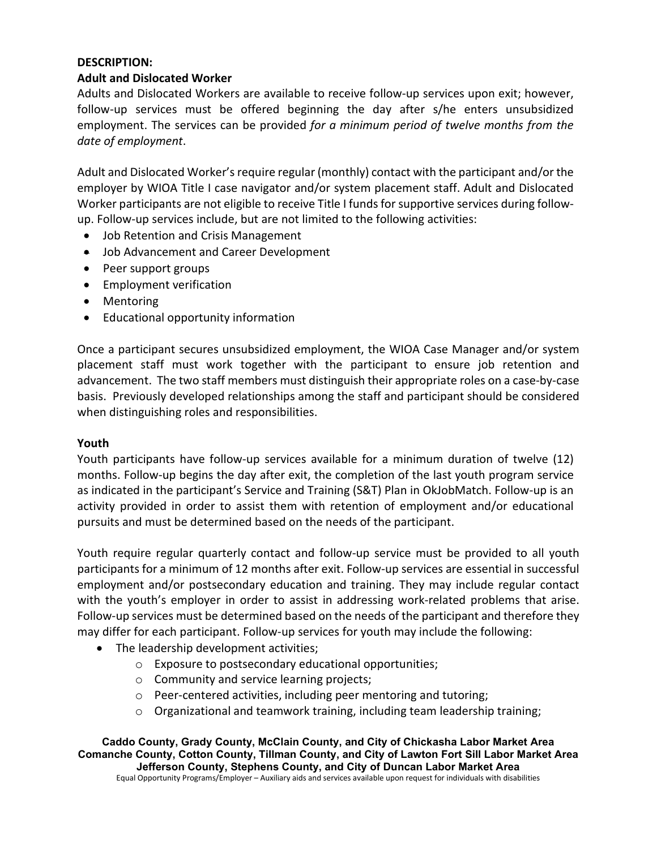# **DESCRIPTION:**

### **Adult and Dislocated Worker**

Adults and Dislocated Workers are available to receive follow-up services upon exit; however, follow-up services must be offered beginning the day after s/he enters unsubsidized employment. The services can be provided *for a minimum period of twelve months from the date of employment*.

Adult and Dislocated Worker's require regular (monthly) contact with the participant and/or the employer by WIOA Title I case navigator and/or system placement staff. Adult and Dislocated Worker participants are not eligible to receive Title I funds for supportive services during followup. Follow-up services include, but are not limited to the following activities:

- Job Retention and Crisis Management
- Job Advancement and Career Development
- Peer support groups
- Employment verification
- Mentoring
- Educational opportunity information

Once a participant secures unsubsidized employment, the WIOA Case Manager and/or system placement staff must work together with the participant to ensure job retention and advancement. The two staff members must distinguish their appropriate roles on a case-by-case basis. Previously developed relationships among the staff and participant should be considered when distinguishing roles and responsibilities.

#### **Youth**

Youth participants have follow-up services available for a minimum duration of twelve (12) months. Follow-up begins the day after exit, the completion of the last youth program service as indicated in the participant's Service and Training (S&T) Plan in OkJobMatch. Follow-up is an activity provided in order to assist them with retention of employment and/or educational pursuits and must be determined based on the needs of the participant.

Youth require regular quarterly contact and follow-up service must be provided to all youth participants for a minimum of 12 months after exit. Follow-up services are essential in successful employment and/or postsecondary education and training. They may include regular contact with the youth's employer in order to assist in addressing work-related problems that arise. Follow-up services must be determined based on the needs of the participant and therefore they may differ for each participant. Follow-up services for youth may include the following:

- The leadership development activities;
	- o Exposure to postsecondary educational opportunities;
	- o Community and service learning projects;
	- o Peer-centered activities, including peer mentoring and tutoring;
	- $\circ$  Organizational and teamwork training, including team leadership training;

**Caddo County, Grady County, McClain County, and City of Chickasha Labor Market Area Comanche County, Cotton County, Tillman County, and City of Lawton Fort Sill Labor Market Area Jefferson County, Stephens County, and City of Duncan Labor Market Area** Equal Opportunity Programs/Employer – Auxiliary aids and services available upon request for individuals with disabilities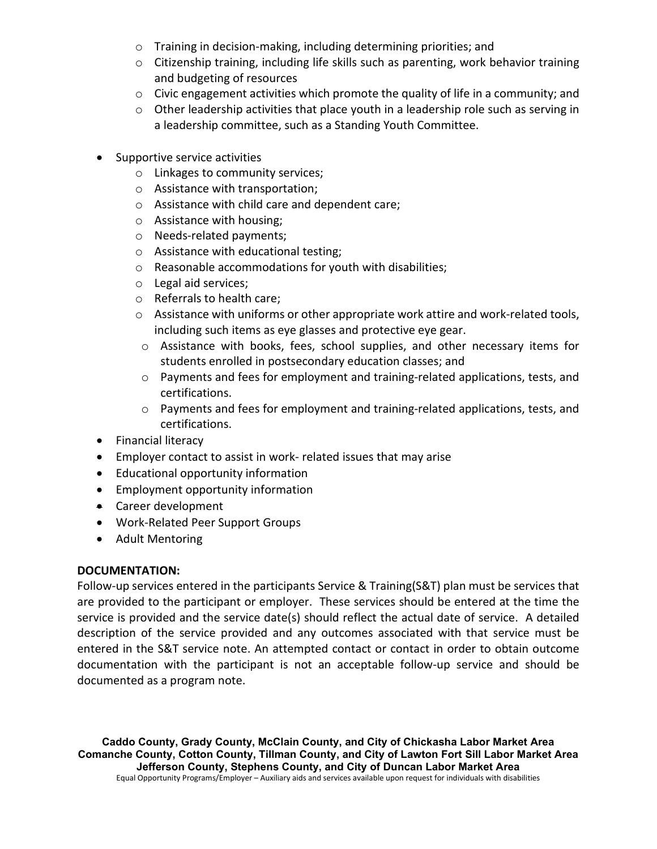- o Training in decision-making, including determining priorities; and
- $\circ$  Citizenship training, including life skills such as parenting, work behavior training and budgeting of resources
- $\circ$  Civic engagement activities which promote the quality of life in a community; and
- $\circ$  Other leadership activities that place youth in a leadership role such as serving in a leadership committee, such as a Standing Youth Committee.
- Supportive service activities
	- o Linkages to community services;
	- o Assistance with transportation;
	- o Assistance with child care and dependent care;
	- o Assistance with housing;
	- o Needs-related payments;
	- o Assistance with educational testing;
	- o Reasonable accommodations for youth with disabilities;
	- o Legal aid services;
	- o Referrals to health care;
	- $\circ$  Assistance with uniforms or other appropriate work attire and work-related tools, including such items as eye glasses and protective eye gear.
	- o Assistance with books, fees, school supplies, and other necessary items for students enrolled in postsecondary education classes; and
	- o Payments and fees for employment and training-related applications, tests, and certifications.
	- $\circ$  Payments and fees for employment and training-related applications, tests, and certifications.
- Financial literacy
- Employer contact to assist in work- related issues that may arise
- Educational opportunity information
- Employment opportunity information
- Career development
- Work-Related Peer Support Groups
- Adult Mentoring

# **DOCUMENTATION:**

Follow-up services entered in the participants Service & Training(S&T) plan must be services that are provided to the participant or employer. These services should be entered at the time the service is provided and the service date(s) should reflect the actual date of service. A detailed description of the service provided and any outcomes associated with that service must be entered in the S&T service note. An attempted contact or contact in order to obtain outcome documentation with the participant is not an acceptable follow-up service and should be documented as a program note.